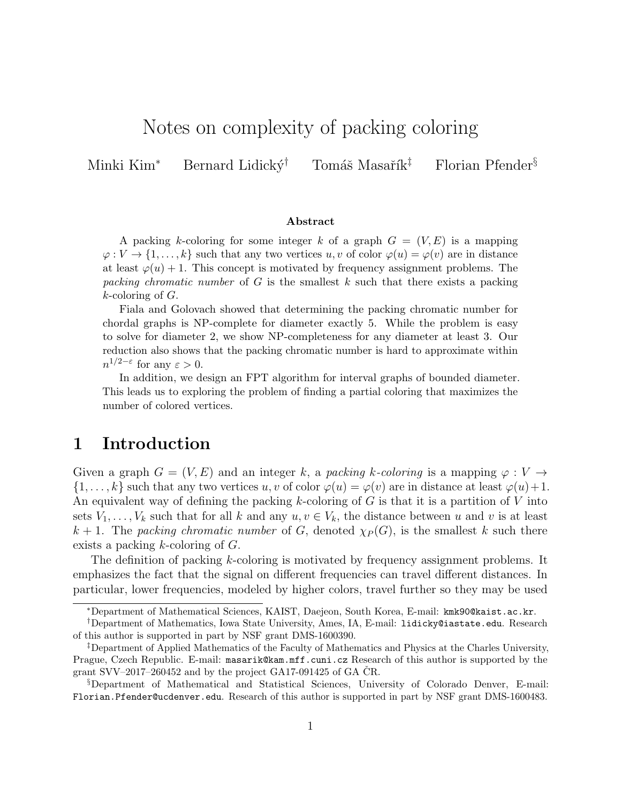# Notes on complexity of packing coloring

Minki Kim<sup>∗</sup> Bernard Lidický<sup>†</sup> Tomáš Masařík<sup>‡</sup> Florian Pfender<sup>§</sup>

#### Abstract

A packing k-coloring for some integer k of a graph  $G = (V, E)$  is a mapping  $\varphi: V \to \{1, \ldots, k\}$  such that any two vertices  $u, v$  of color  $\varphi(u) = \varphi(v)$  are in distance at least  $\varphi(u) + 1$ . This concept is motivated by frequency assignment problems. The packing chromatic number of G is the smallest k such that there exists a packing  $k$ -coloring of  $G$ .

Fiala and Golovach showed that determining the packing chromatic number for chordal graphs is NP-complete for diameter exactly 5. While the problem is easy to solve for diameter 2, we show NP-completeness for any diameter at least 3. Our reduction also shows that the packing chromatic number is hard to approximate within  $n^{1/2-\varepsilon}$  for any  $\varepsilon > 0$ .

In addition, we design an FPT algorithm for interval graphs of bounded diameter. This leads us to exploring the problem of finding a partial coloring that maximizes the number of colored vertices.

### 1 Introduction

Given a graph  $G = (V, E)$  and an integer k, a packing k-coloring is a mapping  $\varphi : V \to$  $\{1,\ldots,k\}$  such that any two vertices  $u, v$  of color  $\varphi(u) = \varphi(v)$  are in distance at least  $\varphi(u)+1$ . An equivalent way of defining the packing  $k$ -coloring of  $G$  is that it is a partition of  $V$  into sets  $V_1, \ldots, V_k$  such that for all k and any  $u, v \in V_k$ , the distance between u and v is at least k + 1. The packing chromatic number of G, denoted  $\chi_P(G)$ , is the smallest k such there exists a packing  $k$ -coloring of  $G$ .

The definition of packing k-coloring is motivated by frequency assignment problems. It emphasizes the fact that the signal on different frequencies can travel different distances. In particular, lower frequencies, modeled by higher colors, travel further so they may be used

<sup>∗</sup>Department of Mathematical Sciences, KAIST, Daejeon, South Korea, E-mail: kmk90@kaist.ac.kr.

<sup>†</sup>Department of Mathematics, Iowa State University, Ames, IA, E-mail: lidicky@iastate.edu. Research of this author is supported in part by NSF grant DMS-1600390.

<sup>‡</sup>Department of Applied Mathematics of the Faculty of Mathematics and Physics at the Charles University, Prague, Czech Republic. E-mail: masarik@kam.mff.cuni.cz Research of this author is supported by the grant SVV–2017–260452 and by the project  $GA17-091425$  of  $GA$  CR.

<sup>§</sup>Department of Mathematical and Statistical Sciences, University of Colorado Denver, E-mail: Florian.Pfender@ucdenver.edu. Research of this author is supported in part by NSF grant DMS-1600483.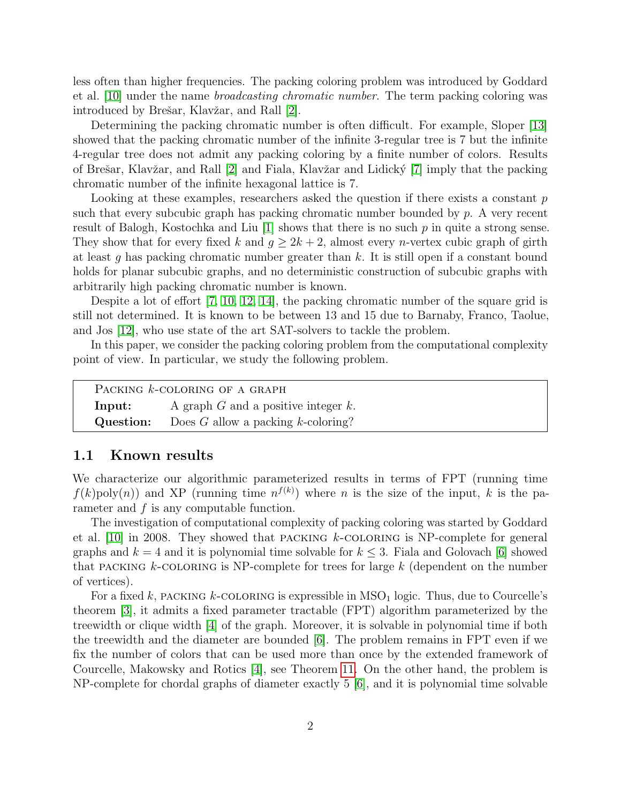less often than higher frequencies. The packing coloring problem was introduced by Goddard et al. [\[10\]](#page-8-0) under the name broadcasting chromatic number. The term packing coloring was introduced by Brešar, Klavžar, and Rall [\[2\]](#page-7-0).

Determining the packing chromatic number is often difficult. For example, Sloper [\[13\]](#page-8-1) showed that the packing chromatic number of the infinite 3-regular tree is 7 but the infinite 4-regular tree does not admit any packing coloring by a finite number of colors. Results of Brešar, Klavžar, and Rall [\[2\]](#page-7-0) and Fiala, Klavžar and Lidický [\[7\]](#page-8-2) imply that the packing chromatic number of the infinite hexagonal lattice is 7.

Looking at these examples, researchers asked the question if there exists a constant  $p$ such that every subcubic graph has packing chromatic number bounded by  $p$ . A very recent result of Balogh, Kostochka and Liu  $[1]$  shows that there is no such  $p$  in quite a strong sense. They show that for every fixed k and  $q \geq 2k+2$ , almost every n-vertex cubic graph of girth at least g has packing chromatic number greater than  $k$ . It is still open if a constant bound holds for planar subcubic graphs, and no deterministic construction of subcubic graphs with arbitrarily high packing chromatic number is known.

Despite a lot of effort [\[7,](#page-8-2) [10,](#page-8-0) [12,](#page-8-3) [14\]](#page-8-4), the packing chromatic number of the square grid is still not determined. It is known to be between 13 and 15 due to Barnaby, Franco, Taolue, and Jos [\[12\]](#page-8-3), who use state of the art SAT-solvers to tackle the problem.

In this paper, we consider the packing coloring problem from the computational complexity point of view. In particular, we study the following problem.

| PACKING <i>k</i> -COLORING OF A GRAPH |                                                     |
|---------------------------------------|-----------------------------------------------------|
| Input:                                | A graph $G$ and a positive integer $k$ .            |
|                                       | <b>Question:</b> Does G allow a packing k-coloring? |

### 1.1 Known results

We characterize our algorithmic parameterized results in terms of FPT (running time  $f(k)$ poly $(n)$  and XP (running time  $n^{f(k)}$ ) where n is the size of the input, k is the parameter and  $f$  is any computable function.

The investigation of computational complexity of packing coloring was started by Goddard et al.  $[10]$  in 2008. They showed that PACKING k-COLORING is NP-complete for general graphs and  $k = 4$  and it is polynomial time solvable for  $k \leq 3$ . Fiala and Golovach [\[6\]](#page-8-5) showed that PACKING  $k$ -COLORING is NP-complete for trees for large  $k$  (dependent on the number of vertices).

For a fixed k, PACKING k-COLORING is expressible in MSO<sub>1</sub> logic. Thus, due to Courcelle's theorem [\[3\]](#page-7-2), it admits a fixed parameter tractable (FPT) algorithm parameterized by the treewidth or clique width [\[4\]](#page-7-3) of the graph. Moreover, it is solvable in polynomial time if both the treewidth and the diameter are bounded [\[6\]](#page-8-5). The problem remains in FPT even if we fix the number of colors that can be used more than once by the extended framework of Courcelle, Makowsky and Rotics [\[4\]](#page-7-3), see Theorem [11.](#page-6-0) On the other hand, the problem is NP-complete for chordal graphs of diameter exactly 5 [\[6\]](#page-8-5), and it is polynomial time solvable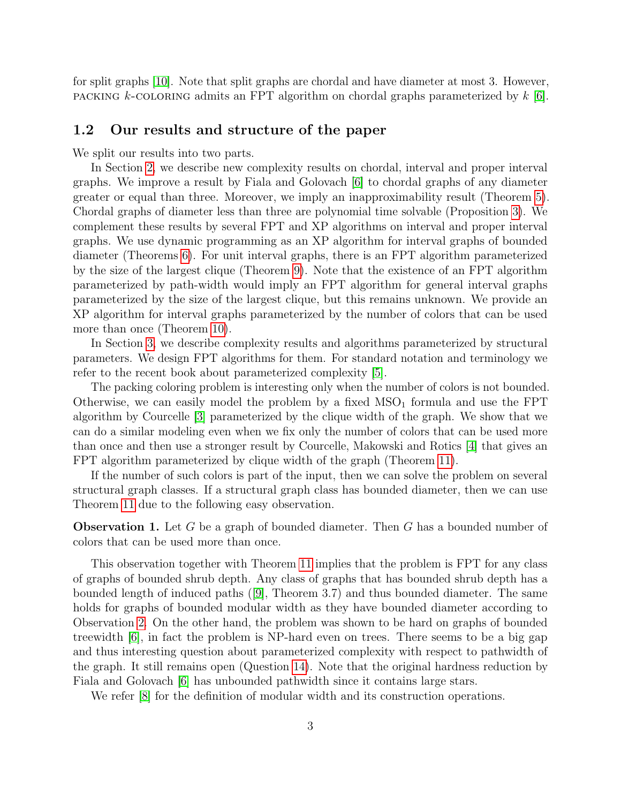for split graphs [\[10\]](#page-8-0). Note that split graphs are chordal and have diameter at most 3. However, PACKING k-COLORING admits an FPT algorithm on chordal graphs parameterized by  $k$  [\[6\]](#page-8-5).

### 1.2 Our results and structure of the paper

We split our results into two parts.

In Section [2,](#page-3-0) we describe new complexity results on chordal, interval and proper interval graphs. We improve a result by Fiala and Golovach [\[6\]](#page-8-5) to chordal graphs of any diameter greater or equal than three. Moreover, we imply an inapproximability result (Theorem [5\)](#page-3-1). Chordal graphs of diameter less than three are polynomial time solvable (Proposition [3\)](#page-3-2). We complement these results by several FPT and XP algorithms on interval and proper interval graphs. We use dynamic programming as an XP algorithm for interval graphs of bounded diameter (Theorems [6\)](#page-5-0). For unit interval graphs, there is an FPT algorithm parameterized by the size of the largest clique (Theorem [9\)](#page-5-1). Note that the existence of an FPT algorithm parameterized by path-width would imply an FPT algorithm for general interval graphs parameterized by the size of the largest clique, but this remains unknown. We provide an XP algorithm for interval graphs parameterized by the number of colors that can be used more than once (Theorem [10\)](#page-6-1).

In Section [3,](#page-6-2) we describe complexity results and algorithms parameterized by structural parameters. We design FPT algorithms for them. For standard notation and terminology we refer to the recent book about parameterized complexity [\[5\]](#page-8-6).

The packing coloring problem is interesting only when the number of colors is not bounded. Otherwise, we can easily model the problem by a fixed  $\text{MSO}_1$  formula and use the FPT algorithm by Courcelle [\[3\]](#page-7-2) parameterized by the clique width of the graph. We show that we can do a similar modeling even when we fix only the number of colors that can be used more than once and then use a stronger result by Courcelle, Makowski and Rotics [\[4\]](#page-7-3) that gives an FPT algorithm parameterized by clique width of the graph (Theorem [11\)](#page-6-0).

If the number of such colors is part of the input, then we can solve the problem on several structural graph classes. If a structural graph class has bounded diameter, then we can use Theorem [11](#page-6-0) due to the following easy observation.

**Observation 1.** Let G be a graph of bounded diameter. Then G has a bounded number of colors that can be used more than once.

This observation together with Theorem [11](#page-6-0) implies that the problem is FPT for any class of graphs of bounded shrub depth. Any class of graphs that has bounded shrub depth has a bounded length of induced paths ([\[9\]](#page-8-7), Theorem 3.7) and thus bounded diameter. The same holds for graphs of bounded modular width as they have bounded diameter according to Observation [2.](#page-3-3) On the other hand, the problem was shown to be hard on graphs of bounded treewidth [\[6\]](#page-8-5), in fact the problem is NP-hard even on trees. There seems to be a big gap and thus interesting question about parameterized complexity with respect to pathwidth of the graph. It still remains open (Question [14\)](#page-7-4). Note that the original hardness reduction by Fiala and Golovach [\[6\]](#page-8-5) has unbounded pathwidth since it contains large stars.

We refer [\[8\]](#page-8-8) for the definition of modular width and its construction operations.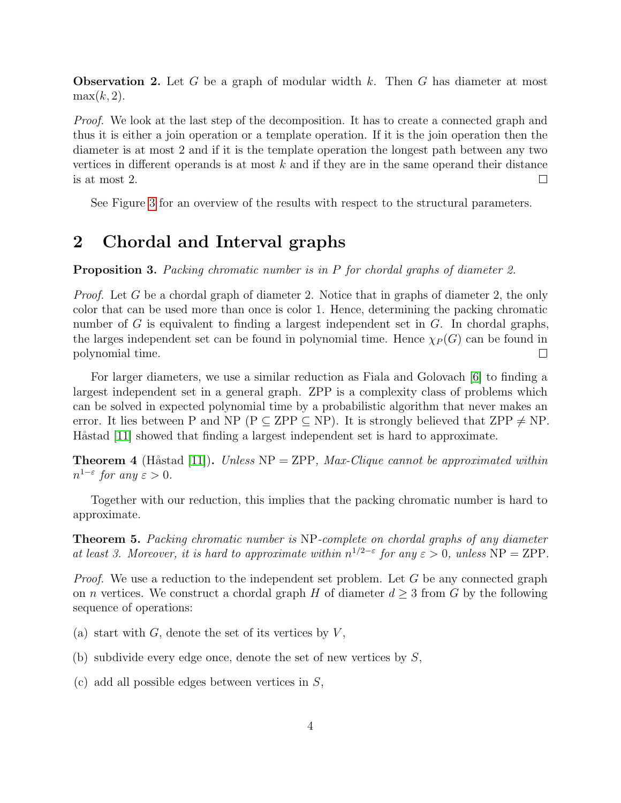<span id="page-3-3"></span>**Observation 2.** Let G be a graph of modular width k. Then G has diameter at most  $max(k, 2)$ .

Proof. We look at the last step of the decomposition. It has to create a connected graph and thus it is either a join operation or a template operation. If it is the join operation then the diameter is at most 2 and if it is the template operation the longest path between any two vertices in different operands is at most  $k$  and if they are in the same operand their distance is at most 2.  $\Box$ 

See Figure [3](#page-6-3) for an overview of the results with respect to the structural parameters.

### <span id="page-3-0"></span>2 Chordal and Interval graphs

<span id="page-3-2"></span>Proposition 3. Packing chromatic number is in P for chordal graphs of diameter 2.

Proof. Let G be a chordal graph of diameter 2. Notice that in graphs of diameter 2, the only color that can be used more than once is color 1. Hence, determining the packing chromatic number of  $G$  is equivalent to finding a largest independent set in  $G$ . In chordal graphs, the larges independent set can be found in polynomial time. Hence  $\chi_P(G)$  can be found in polynomial time.  $\Box$ 

For larger diameters, we use a similar reduction as Fiala and Golovach [\[6\]](#page-8-5) to finding a largest independent set in a general graph. ZPP is a complexity class of problems which can be solved in expected polynomial time by a probabilistic algorithm that never makes an error. It lies between P and NP ( $P \subseteq ZPP \subseteq NP$ ). It is strongly believed that  $ZPP \neq NP$ . Håstad [\[11\]](#page-8-9) showed that finding a largest independent set is hard to approximate.

<span id="page-3-4"></span>**Theorem 4** (Håstad [\[11\]](#page-8-9)). Unless  $NP = ZPP$ , Max-Clique cannot be approximated within  $n^{1-\varepsilon}$  for any  $\varepsilon > 0$ .

Together with our reduction, this implies that the packing chromatic number is hard to approximate.

<span id="page-3-1"></span>Theorem 5. Packing chromatic number is NP-complete on chordal graphs of any diameter at least 3. Moreover, it is hard to approximate within  $n^{1/2-\epsilon}$  for any  $\varepsilon > 0$ , unless NP = ZPP.

*Proof.* We use a reduction to the independent set problem. Let  $G$  be any connected graph on *n* vertices. We construct a chordal graph H of diameter  $d \geq 3$  from G by the following sequence of operations:

- (a) start with  $G$ , denote the set of its vertices by  $V$ ,
- (b) subdivide every edge once, denote the set of new vertices by S,
- (c) add all possible edges between vertices in S,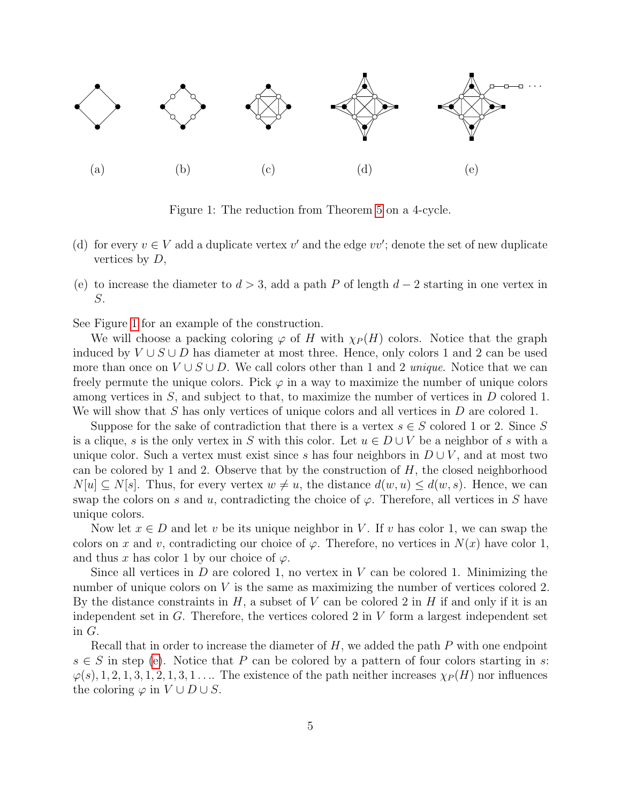

<span id="page-4-0"></span>Figure 1: The reduction from Theorem [5](#page-3-1) on a 4-cycle.

- (d) for every  $v \in V$  add a duplicate vertex  $v'$  and the edge  $vv'$ ; denote the set of new duplicate vertices by  $D$ ,
- <span id="page-4-1"></span>(e) to increase the diameter to  $d > 3$ , add a path P of length  $d - 2$  starting in one vertex in S.

See Figure [1](#page-4-0) for an example of the construction.

We will choose a packing coloring  $\varphi$  of H with  $\chi_P(H)$  colors. Notice that the graph induced by  $V \cup S \cup D$  has diameter at most three. Hence, only colors 1 and 2 can be used more than once on  $V \cup S \cup D$ . We call colors other than 1 and 2 unique. Notice that we can freely permute the unique colors. Pick  $\varphi$  in a way to maximize the number of unique colors among vertices in  $S$ , and subject to that, to maximize the number of vertices in  $D$  colored 1. We will show that S has only vertices of unique colors and all vertices in D are colored 1.

Suppose for the sake of contradiction that there is a vertex  $s \in S$  colored 1 or 2. Since S is a clique, s is the only vertex in S with this color. Let  $u \in D \cup V$  be a neighbor of s with a unique color. Such a vertex must exist since s has four neighbors in  $D \cup V$ , and at most two can be colored by 1 and 2. Observe that by the construction of  $H$ , the closed neighborhood  $N[u] \subseteq N[s]$ . Thus, for every vertex  $w \neq u$ , the distance  $d(w, u) \leq d(w, s)$ . Hence, we can swap the colors on s and u, contradicting the choice of  $\varphi$ . Therefore, all vertices in S have unique colors.

Now let  $x \in D$  and let v be its unique neighbor in V. If v has color 1, we can swap the colors on x and v, contradicting our choice of  $\varphi$ . Therefore, no vertices in  $N(x)$  have color 1, and thus x has color 1 by our choice of  $\varphi$ .

Since all vertices in D are colored 1, no vertex in V can be colored 1. Minimizing the number of unique colors on V is the same as maximizing the number of vertices colored 2. By the distance constraints in  $H$ , a subset of  $V$  can be colored 2 in  $H$  if and only if it is an independent set in  $G$ . Therefore, the vertices colored 2 in  $V$  form a largest independent set in G.

Recall that in order to increase the diameter of  $H$ , we added the path  $P$  with one endpoint  $s \in S$  in step [\(e\)](#page-4-1). Notice that P can be colored by a pattern of four colors starting in s:  $\varphi(s), 1, 2, 1, 3, 1, 2, 1, 3, 1, \ldots$  The existence of the path neither increases  $\chi_P(H)$  nor influences the coloring  $\varphi$  in  $V \cup D \cup S$ .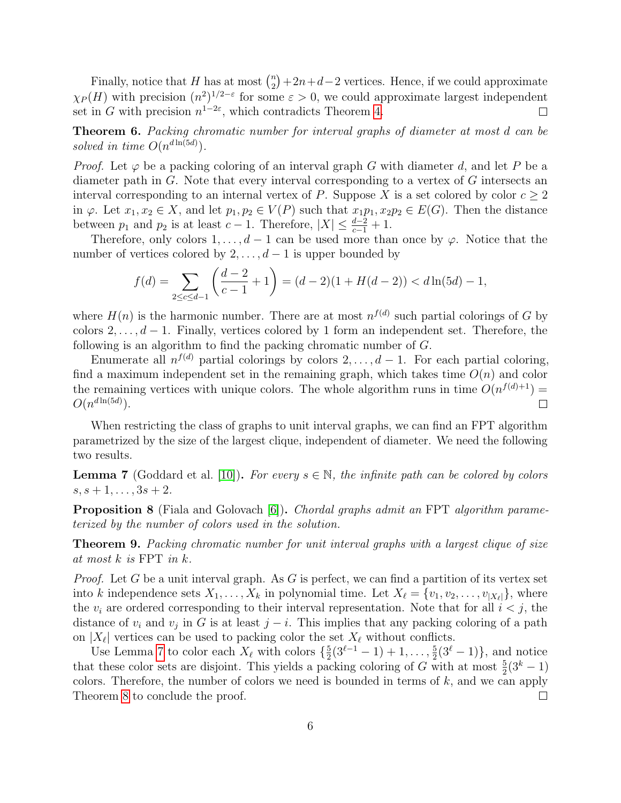Finally, notice that H has at most  $\binom{n}{2}$  $n_2(n_1+2n+d-2)$  vertices. Hence, if we could approximate  $\chi_P(H)$  with precision  $(n^2)^{1/2-\varepsilon}$  for some  $\varepsilon > 0$ , we could approximate largest independent set in G with precision  $n^{1-2\varepsilon}$ , which contradicts Theorem [4.](#page-3-4)  $\Box$ 

<span id="page-5-0"></span>Theorem 6. Packing chromatic number for interval graphs of diameter at most d can be solved in time  $O(n^{d \ln(5d)})$ .

*Proof.* Let  $\varphi$  be a packing coloring of an interval graph G with diameter d, and let P be a diameter path in G. Note that every interval corresponding to a vertex of G intersects an interval corresponding to an internal vertex of P. Suppose X is a set colored by color  $c \geq 2$ in  $\varphi$ . Let  $x_1, x_2 \in X$ , and let  $p_1, p_2 \in V(P)$  such that  $x_1p_1, x_2p_2 \in E(G)$ . Then the distance between  $p_1$  and  $p_2$  is at least  $c-1$ . Therefore,  $|X| \leq \frac{d-2}{c-1} + 1$ .

Therefore, only colors  $1, \ldots, d-1$  can be used more than once by  $\varphi$ . Notice that the number of vertices colored by  $2, \ldots, d-1$  is upper bounded by

$$
f(d) = \sum_{2 \le c \le d-1} \left( \frac{d-2}{c-1} + 1 \right) = (d-2)(1 + H(d-2)) < d\ln(5d) - 1,
$$

where  $H(n)$  is the harmonic number. There are at most  $n^{f(d)}$  such partial colorings of G by colors 2, ...,  $d-1$ . Finally, vertices colored by 1 form an independent set. Therefore, the following is an algorithm to find the packing chromatic number of G.

Enumerate all  $n^{f(d)}$  partial colorings by colors  $2, \ldots, d-1$ . For each partial coloring, find a maximum independent set in the remaining graph, which takes time  $O(n)$  and color the remaining vertices with unique colors. The whole algorithm runs in time  $O(n^{f(d)+1}) =$  $O(n^{d \ln(5d)})$ .  $\Box$ 

When restricting the class of graphs to unit interval graphs, we can find an FPT algorithm parametrized by the size of the largest clique, independent of diameter. We need the following two results.

<span id="page-5-2"></span>**Lemma 7** (Goddard et al. [\[10\]](#page-8-0)). For every  $s \in \mathbb{N}$ , the infinite path can be colored by colors  $s, s+1, \ldots, 3s+2.$ 

<span id="page-5-3"></span>**Proposition 8** (Fiala and Golovach [\[6\]](#page-8-5)). Chordal graphs admit an FPT algorithm parameterized by the number of colors used in the solution.

<span id="page-5-1"></span>**Theorem 9.** Packing chromatic number for unit interval graphs with a largest clique of size at most k is FPT in k.

*Proof.* Let G be a unit interval graph. As G is perfect, we can find a partition of its vertex set into k independence sets  $X_1, \ldots, X_k$  in polynomial time. Let  $X_\ell = \{v_1, v_2, \ldots, v_{|X_\ell|}\}$ , where the  $v_i$  are ordered corresponding to their interval representation. Note that for all  $i < j$ , the distance of  $v_i$  and  $v_j$  in G is at least  $j - i$ . This implies that any packing coloring of a path on  $|X_\ell|$  vertices can be used to packing color the set  $X_\ell$  without conflicts.

Use Lemma [7](#page-5-2) to color each  $X_{\ell}$  with colors  $\{\frac{5}{2}\}$  $\frac{5}{2}(3^{\ell-1}-1)+1,\ldots,\frac{5}{2}$  $\frac{5}{2}(3^{\ell}-1)$ , and notice that these color sets are disjoint. This yields a packing coloring of G with at most  $\frac{5}{2}(3^k-1)$ colors. Therefore, the number of colors we need is bounded in terms of  $k$ , and we can apply Theorem [8](#page-5-3) to conclude the proof.  $\Box$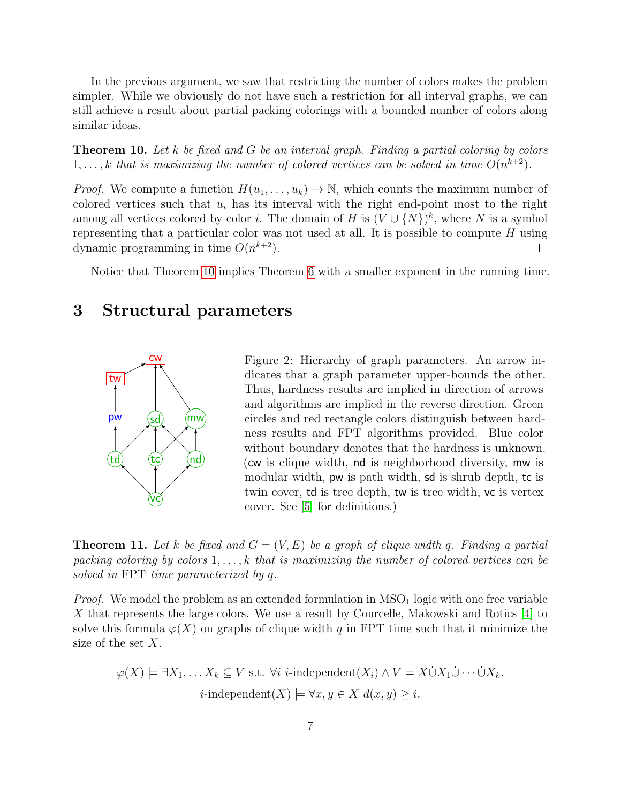In the previous argument, we saw that restricting the number of colors makes the problem simpler. While we obviously do not have such a restriction for all interval graphs, we can still achieve a result about partial packing colorings with a bounded number of colors along similar ideas.

<span id="page-6-1"></span>Theorem 10. Let k be fixed and G be an interval graph. Finding a partial coloring by colors  $1, \ldots, k$  that is maximizing the number of colored vertices can be solved in time  $O(n^{k+2})$ .

*Proof.* We compute a function  $H(u_1, \ldots, u_k) \to \mathbb{N}$ , which counts the maximum number of colored vertices such that  $u_i$  has its interval with the right end-point most to the right among all vertices colored by color *i*. The domain of H is  $(V \cup \{N\})^k$ , where N is a symbol representing that a particular color was not used at all. It is possible to compute  $H$  using dynamic programming in time  $O(n^{k+2})$ .  $\Box$ 

Notice that Theorem [10](#page-6-1) implies Theorem [6](#page-5-0) with a smaller exponent in the running time.

## <span id="page-6-2"></span>3 Structural parameters



<span id="page-6-3"></span>Figure 2: Hierarchy of graph parameters. An arrow indicates that a graph parameter upper-bounds the other. Thus, hardness results are implied in direction of arrows and algorithms are implied in the reverse direction. Green circles and red rectangle colors distinguish between hardness results and FPT algorithms provided. Blue color without boundary denotes that the hardness is unknown. (cw is clique width, nd is neighborhood diversity, mw is modular width, pw is path width, sd is shrub depth, tc is twin cover, td is tree depth, tw is tree width, vc is vertex cover. See [\[5\]](#page-8-6) for definitions.)

<span id="page-6-0"></span>**Theorem 11.** Let k be fixed and  $G = (V, E)$  be a graph of clique width q. Finding a partial packing coloring by colors  $1, \ldots, k$  that is maximizing the number of colored vertices can be solved in FPT time parameterized by q.

*Proof.* We model the problem as an extended formulation in  $MSO<sub>1</sub>$  logic with one free variable X that represents the large colors. We use a result by Courcelle, Makowski and Rotics [\[4\]](#page-7-3) to solve this formula  $\varphi(X)$  on graphs of clique width q in FPT time such that it minimize the size of the set  $X$ .

$$
\varphi(X) \models \exists X_1, \dots X_k \subseteq V \text{ s.t. } \forall i \text{ i-independent}(X_i) \land V = X \dot{\cup} X_1 \dot{\cup} \dots \dot{\cup} X_k.
$$
  

$$
i\text{-independent}(X) \models \forall x, y \in X \ d(x, y) \geq i.
$$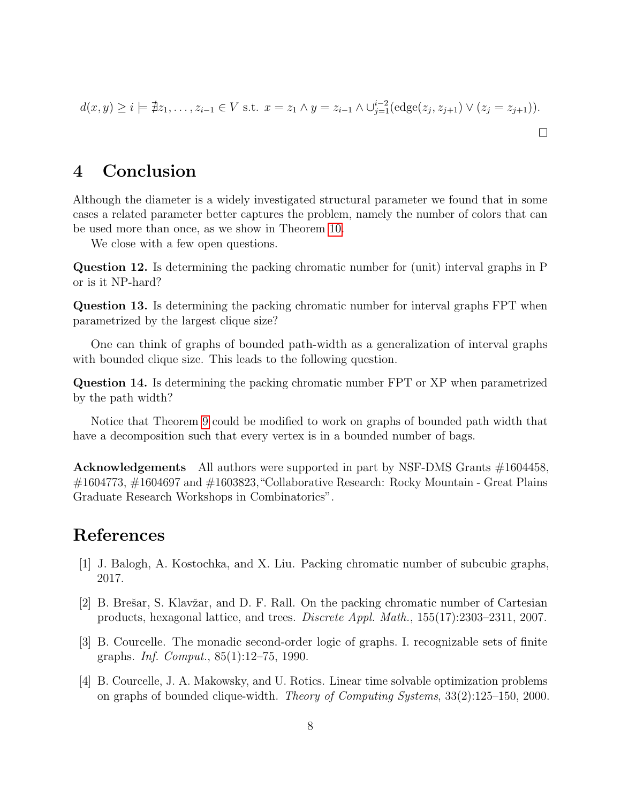$$
d(x,y) \geq i \models \nexists z_1, \ldots, z_{i-1} \in V \text{ s.t. } x = z_1 \land y = z_{i-1} \land \bigcup_{j=1}^{i-2} (\text{edge}(z_j, z_{j+1}) \lor (z_j = z_{j+1})).
$$

# 4 Conclusion

Although the diameter is a widely investigated structural parameter we found that in some cases a related parameter better captures the problem, namely the number of colors that can be used more than once, as we show in Theorem [10.](#page-6-1)

We close with a few open questions.

Question 12. Is determining the packing chromatic number for (unit) interval graphs in P or is it NP-hard?

Question 13. Is determining the packing chromatic number for interval graphs FPT when parametrized by the largest clique size?

One can think of graphs of bounded path-width as a generalization of interval graphs with bounded clique size. This leads to the following question.

<span id="page-7-4"></span>Question 14. Is determining the packing chromatic number FPT or XP when parametrized by the path width?

Notice that Theorem [9](#page-5-1) could be modified to work on graphs of bounded path width that have a decomposition such that every vertex is in a bounded number of bags.

Acknowledgements All authors were supported in part by NSF-DMS Grants #1604458, #1604773, #1604697 and #1603823,"Collaborative Research: Rocky Mountain - Great Plains Graduate Research Workshops in Combinatorics".

### References

- <span id="page-7-1"></span>[1] J. Balogh, A. Kostochka, and X. Liu. Packing chromatic number of subcubic graphs, 2017.
- <span id="page-7-0"></span>[2] B. Brešar, S. Klavžar, and D. F. Rall. On the packing chromatic number of Cartesian products, hexagonal lattice, and trees. Discrete Appl. Math., 155(17):2303–2311, 2007.
- <span id="page-7-2"></span>[3] B. Courcelle. The monadic second-order logic of graphs. I. recognizable sets of finite graphs. Inf. Comput., 85(1):12–75, 1990.
- <span id="page-7-3"></span>[4] B. Courcelle, J. A. Makowsky, and U. Rotics. Linear time solvable optimization problems on graphs of bounded clique-width. Theory of Computing Systems, 33(2):125–150, 2000.